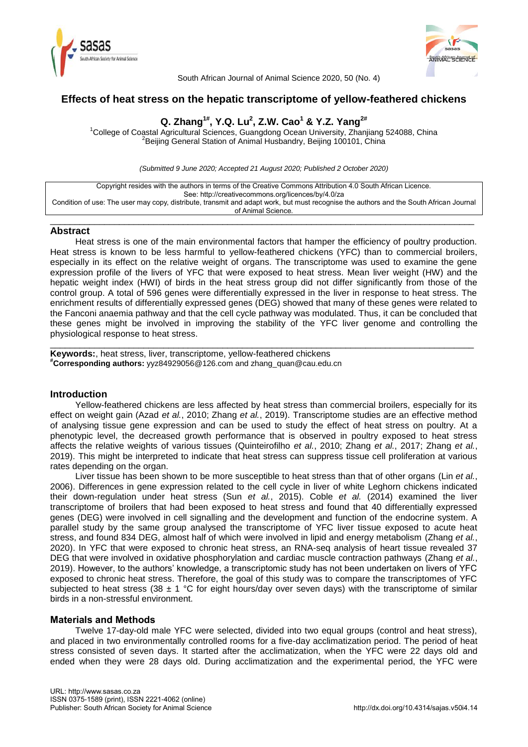



South African Journal of Animal Science 2020, 50 (No. 4)

# **Effects of heat stress on the hepatic transcriptome of yellow-feathered chickens**

# **Q. Zhang1#, Y.Q. Lu<sup>2</sup> , Z.W. Cao<sup>1</sup> & Y.Z. Yang2#**

<sup>1</sup>College of Coastal Agricultural Sciences, Guangdong Ocean University, Zhanjiang 524088, China <sup>2</sup>Beijing General Station of Animal Husbandry, Beijing 100101, China

*(Submitted 9 June 2020; Accepted 21 August 2020; Published 2 October 2020)*



\_\_\_\_\_\_\_\_\_\_\_\_\_\_\_\_\_\_\_\_\_\_\_\_\_\_\_\_\_\_\_\_\_\_\_\_\_\_\_\_\_\_\_\_\_\_\_\_\_\_\_\_\_\_\_\_\_\_\_\_\_\_\_\_\_\_\_\_\_\_\_\_\_\_\_\_\_\_\_\_\_\_\_\_\_\_

### **Abstract**

Heat stress is one of the main environmental factors that hamper the efficiency of poultry production. Heat stress is known to be less harmful to yellow-feathered chickens (YFC) than to commercial broilers, especially in its effect on the relative weight of organs. The transcriptome was used to examine the gene expression profile of the livers of YFC that were exposed to heat stress. Mean liver weight (HW) and the hepatic weight index (HWI) of birds in the heat stress group did not differ significantly from those of the control group. A total of 596 genes were differentially expressed in the liver in response to heat stress. The enrichment results of differentially expressed genes (DEG) showed that many of these genes were related to the Fanconi anaemia pathway and that the cell cycle pathway was modulated. Thus, it can be concluded that these genes might be involved in improving the stability of the YFC liver genome and controlling the physiological response to heat stress.

\_\_\_\_\_\_\_\_\_\_\_\_\_\_\_\_\_\_\_\_\_\_\_\_\_\_\_\_\_\_\_\_\_\_\_\_\_\_\_\_\_\_\_\_\_\_\_\_\_\_\_\_\_\_\_\_\_\_\_\_\_\_\_\_\_\_\_\_\_\_\_\_\_\_\_\_\_\_\_\_\_\_\_\_\_\_

**Keywords:**, heat stress, liver, transcriptome, yellow-feathered chickens **#Corresponding authors:** [yyz84929056@126.com](mailto:yyz84929056@126.com) an[d zhang\\_quan@cau.edu.cn](mailto:zhang_quan@cau.edu.cn)

# **Introduction**

Yellow-feathered chickens are less affected by heat stress than commercial broilers, especially for its effect on weight gain (Azad *et al.*, 2010; Zhang *et al.*, 2019). Transcriptome studies are an effective method of analysing tissue gene expression and can be used to study the effect of heat stress on poultry. At a phenotypic level, the decreased growth performance that is observed in poultry exposed to heat stress affects the relative weights of various tissues (Quinteirofilho *et al.*, 2010; Zhang *et al.*, 2017; Zhang *et al.*, 2019). This might be interpreted to indicate that heat stress can suppress tissue cell proliferation at various rates depending on the organ.

Liver tissue has been shown to be more susceptible to heat stress than that of other organs (Lin *[et al.](#page-7-0)*, [2006\)](#page-7-0). Differences in gene expression related to the cell cycle in liver of white Leghorn chickens indicated their down-regulation under heat stress (Sun *et al.*, 2015). Coble *et al.* (2014) examined the liver transcriptome of broilers that had been exposed to heat stress and found that 40 differentially expressed genes (DEG) were involved in cell signalling and the development and function of the endocrine system. A parallel study by the same group analysed the transcriptome of YFC liver tissue exposed to acute heat stress, and found 834 DEG, almost half of which were involved in lipid and energy metabolism [\(Zhang](#page-8-0) *et al.*, [2020\)](#page-8-0). In YFC that were exposed to chronic heat stress, an RNA-seq analysis of heart tissue revealed 37 DEG that were involved in oxidative phosphorylation and cardiac muscle contraction pathways [\(Zhang](#page-8-1) *et al.*, [2019\)](#page-8-1). However, to the authors' knowledge, a transcriptomic study has not been undertaken on livers of YFC exposed to chronic heat stress. Therefore, the goal of this study was to compare the transcriptomes of YFC subjected to heat stress (38  $\pm$  1 °C for eight hours/day over seven days) with the transcriptome of similar birds in a non-stressful environment.

# **Materials and Methods**

Twelve 17-day-old male YFC were selected, divided into two equal groups (control and heat stress), and placed in two environmentally controlled rooms for a five-day acclimatization period. The period of heat stress consisted of seven days. It started after the acclimatization, when the YFC were 22 days old and ended when they were 28 days old. During acclimatization and the experimental period, the YFC were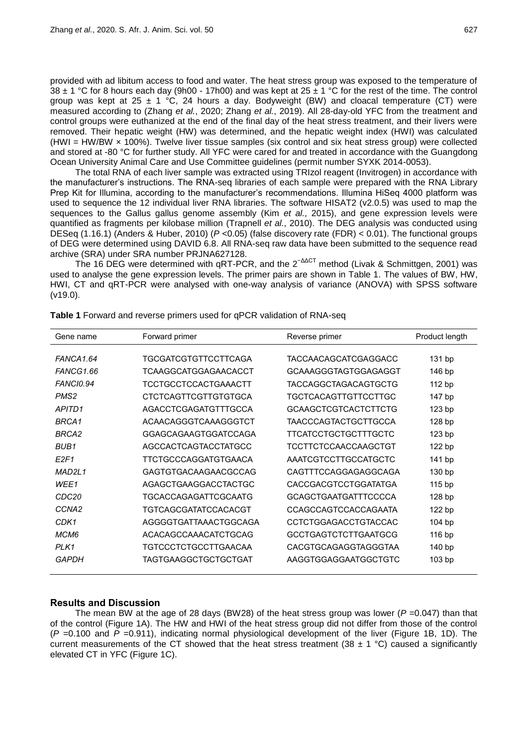provided with ad libitum access to food and water. The heat stress group was exposed to the temperature of 38  $\pm$  1 °C for 8 hours each day (9h00 - 17h00) and was kept at 25  $\pm$  1 °C for the rest of the time. The control group was kept at 25  $\pm$  1 °C, 24 hours a day. Bodyweight (BW) and cloacal temperature (CT) were measured according to [\(Zhang](#page-8-0) *et al.*, 2020; [Zhang](#page-8-1) *et al.*, 2019). All 28-day-old YFC from the treatment and control groups were euthanized at the end of the final day of the heat stress treatment, and their livers were removed. Their hepatic weight (HW) was determined, and the hepatic weight index (HWI) was calculated (HWI = HW/BW × 100%). Twelve liver tissue samples (six control and six heat stress group) were collected and stored at -80 °C for further study. All YFC were cared for and treated in accordance with the Guangdong Ocean University Animal Care and Use Committee guidelines (permit number SYXK 2014-0053).

The total RNA of each liver sample was extracted using TRIzol reagent (Invitrogen) in accordance with the manufacturer's instructions. The RNA-seq libraries of each sample were prepared with the RNA Library Prep Kit for Illumina, according to the manufacturer's recommendations. Illumina HiSeq 4000 platform was used to sequence the 12 individual liver RNA libraries. The software HISAT2 (v2.0.5) was used to map the sequences to the Gallus gallus genome assembly (Kim *et al.*[, 2015\)](#page-7-1), and gene expression levels were quantified as fragments per kilobase million [\(Trapnell](#page-8-2) *et al.*, 2010). The DEG analysis was conducted using DESeq (1.16.1) [\(Anders & Huber, 2010\)](#page-7-2) (*P* <0.05) (false discovery rate (FDR) < 0.01). The functional groups of DEG were determined using DAVID 6.8. All RNA-seq raw data have been submitted to the sequence read archive (SRA) under SRA number PRJNA627128.

The 16 DEG were determined with qRT-PCR, and the 2<sup>-ΔΔCT</sup> method [\(Livak & Schmittgen, 2001\)](#page-7-3) was used to analyse the gene expression levels. The primer pairs are shown in Table 1. The values of BW, HW, HWI, CT and qRT-PCR were analysed with one-way analysis of variance (ANOVA) with SPSS software (v19.0).

| Gene name         | Forward primer              | Reverse primer              | Product length    |
|-------------------|-----------------------------|-----------------------------|-------------------|
|                   |                             |                             |                   |
| FANCA1.64         | TGCGATCGTGTTCCTTCAGA        | TACCAACAGCATCGAGGACC        | 131 bp            |
| FANCG1.66         | TCAAGGCATGGAGAACACCT        | GCAAAGGGTAGTGGAGAGGT        | 146 bp            |
| <b>FANCI0.94</b>  | <b>TCCTGCCTCCACTGAAACTT</b> | <b>TACCAGGCTAGACAGTGCTG</b> | 112 bp            |
| PMS <sub>2</sub>  | <b>CTCTCAGTTCGTTGTGTGCA</b> | TGCTCACAGTTGTTCCTTGC        | 147 bp            |
| APITD1            | AGACCTCGAGATGTTTGCCA        | <b>GCAAGCTCGTCACTCTTCTG</b> | 123 bp            |
| BRCA1             | ACAACAGGGTCAAAGGGTCT        | <b>TAACCCAGTACTGCTTGCCA</b> | 128 bp            |
| BRCA2             | GGAGCAGAAGTGGATCCAGA        | <b>TTCATCCTGCTGCTTTGCTC</b> | 123 <sub>bp</sub> |
| <b>BUB1</b>       | AGCCACTCAGTACCTATGCC        | TCCTTCTCCAACCAAGCTGT        | 122 bp            |
| E2F1              | TTCTGCCCAGGATGTGAACA        | AAATCGTCCTTGCCATGCTC        | 141 bp            |
| MAD2L1            | GAGTGTGACAAGAACGCCAG        | CAGTTTCCAGGAGAGGCAGA        | 130 bp            |
| WEE1              | AGAGCTGAAGGACCTACTGC        | <b>CACCGACGTCCTGGATATGA</b> | 115 bp            |
| CDC <sub>20</sub> | TGCACCAGAGATTCGCAATG        | <b>GCAGCTGAATGATTTCCCCA</b> | 128 bp            |
| CCNA <sub>2</sub> | TGTCAGCGATATCCACACGT        | CCAGCCAGTCCACCAGAATA        | 122 bp            |
| CDK1              | AGGGGTGATTAAACTGGCAGA       | <b>CCTCTGGAGACCTGTACCAC</b> | 104 bp            |
| МСМ6              | ACACAGCCAAACATCTGCAG        | <b>GCCTGAGTCTCTTGAATGCG</b> | 116 bp            |
| PLK1              | TGTCCCTCTGCCTTGAACAA        | <b>CACGTGCAGAGGTAGGGTAA</b> | 140 bp            |
| GAPDH             | TAGTGAAGGCTGCTGCTGAT        | AAGGTGGAGGAATGGCTGTC        | 103 <sub>bp</sub> |

**Table 1** Forward and reverse primers used for qPCR validation of RNA-seq

### **Results and Discussion**

The mean BW at the age of 28 days (BW28) of the heat stress group was lower ( $P = 0.047$ ) than that of the control (Figure 1A). The HW and HWI of the heat stress group did not differ from those of the control (*P* =0.100 and *P* =0.911), indicating normal physiological development of the liver (Figure 1B, 1D). The current measurements of the CT showed that the heat stress treatment (38  $\pm$  1 °C) caused a significantly elevated CT in YFC (Figure 1C).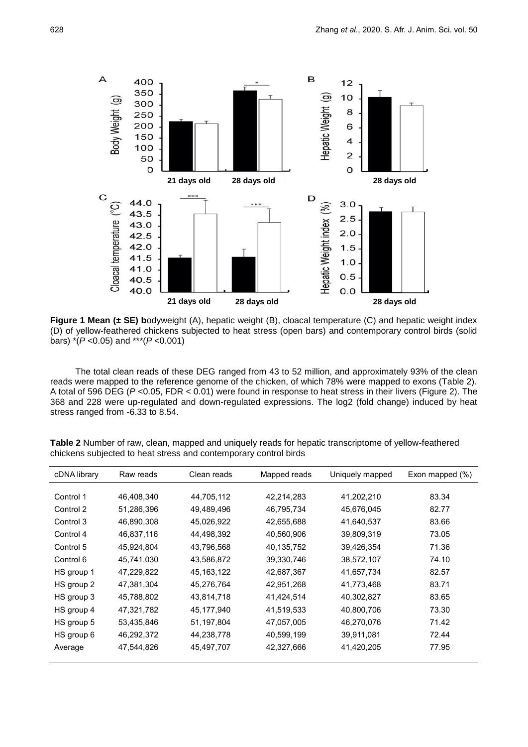

**Figure 1 Mean (± SE) bodyweight (A), hepatic weight (B), cloacal temperature (C) and hepatic weight index** (D) of yellow-feathered chickens subjected to heat stress (open bars) and contemporary control birds (solid bars) \*(*P* <0.05) and \*\*\*(*P* <0.001)

The total clean reads of these DEG ranged from 43 to 52 million, and approximately 93% of the clean reads were mapped to the reference genome of the chicken, of which 78% were mapped to exons (Table 2). A total of 596 DEG (*P* <0.05, FDR < 0.01) were found in response to heat stress in their livers (Figure 2). The 368 and 228 were up-regulated and down-regulated expressions. The log2 (fold change) induced by heat stress ranged from -6.33 to 8.54.

**Table 2** Number of raw, clean, mapped and uniquely reads for hepatic transcriptome of yellow-feathered chickens subjected to heat stress and contemporary control birds

| cDNA library | Raw reads  | Clean reads  | Mapped reads | Uniquely mapped | Exon mapped $(\% )$ |
|--------------|------------|--------------|--------------|-----------------|---------------------|
|              |            |              |              |                 |                     |
| Control 1    | 46,408,340 | 44,705,112   | 42,214,283   | 41,202,210      | 83.34               |
| Control 2    | 51,286,396 | 49,489,496   | 46,795,734   | 45,676,045      | 82.77               |
| Control 3    | 46,890,308 | 45,026,922   | 42,655,688   | 41,640,537      | 83.66               |
| Control 4    | 46,837,116 | 44,498,392   | 40,560,906   | 39,809,319      | 73.05               |
| Control 5    | 45,924,804 | 43,796,568   | 40,135,752   | 39,426,354      | 71.36               |
| Control 6    | 45,741,030 | 43,586,872   | 39,330,746   | 38,572,107      | 74.10               |
| HS group 1   | 47,229,822 | 45, 163, 122 | 42,687,367   | 41,657,734      | 82.57               |
| HS group 2   | 47,381,304 | 45,276,764   | 42,951,268   | 41,773,468      | 83.71               |
| HS group 3   | 45,788,802 | 43,814,718   | 41,424,514   | 40,302,827      | 83.65               |
| HS group 4   | 47,321,782 | 45,177,940   | 41,519,533   | 40,800,706      | 73.30               |
| HS group 5   | 53,435,846 | 51,197,804   | 47,057,005   | 46,270,076      | 71.42               |
| HS group 6   | 46,292,372 | 44,238,778   | 40,599,199   | 39,911,081      | 72.44               |
| Average      | 47,544,826 | 45,497,707   | 42,327,666   | 41,420,205      | 77.95               |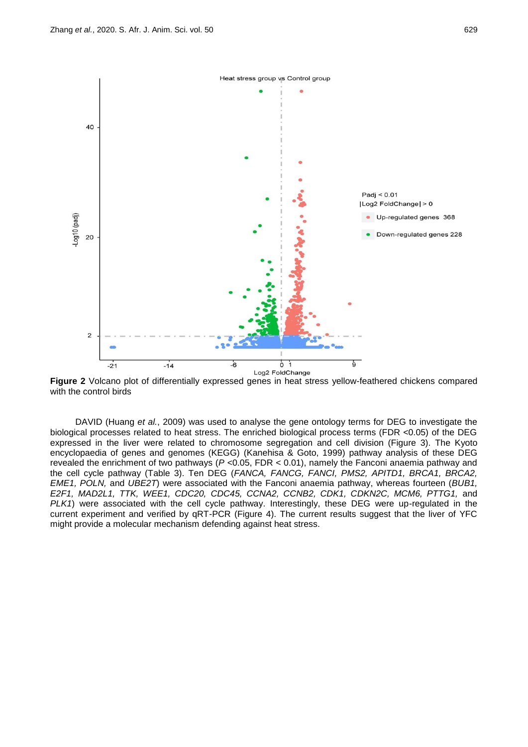

**Figure 2** Volcano plot of differentially expressed genes in heat stress yellow-feathered chickens compared with the control birds

DAVID (Huang *et al.*, 2009) was used to analyse the gene ontology terms for DEG to investigate the biological processes related to heat stress. The enriched biological process terms (FDR <0.05) of the DEG expressed in the liver were related to chromosome segregation and cell division (Figure 3). The Kyoto encyclopaedia of genes and genomes (KEGG) [\(Kanehisa & Goto, 1999\)](#page-7-4) pathway analysis of these DEG revealed the enrichment of two pathways (*P* <0.05, FDR < 0.01), namely the Fanconi anaemia pathway and the cell cycle pathway (Table 3). Ten DEG (*FANCA, FANCG, FANCI, PMS2, APITD1, BRCA1, BRCA2, EME1, POLN,* and *UBE2T*) were associated with the Fanconi anaemia pathway, whereas fourteen (*BUB1, E2F1, MAD2L1, TTK, WEE1, CDC20, CDC45, CCNA2, CCNB2, CDK1, CDKN2C, MCM6, PTTG1,* and *PLK1*) were associated with the cell cycle pathway. Interestingly, these DEG were up-regulated in the current experiment and verified by qRT-PCR (Figure 4). The current results suggest that the liver of YFC might provide a molecular mechanism defending against heat stress.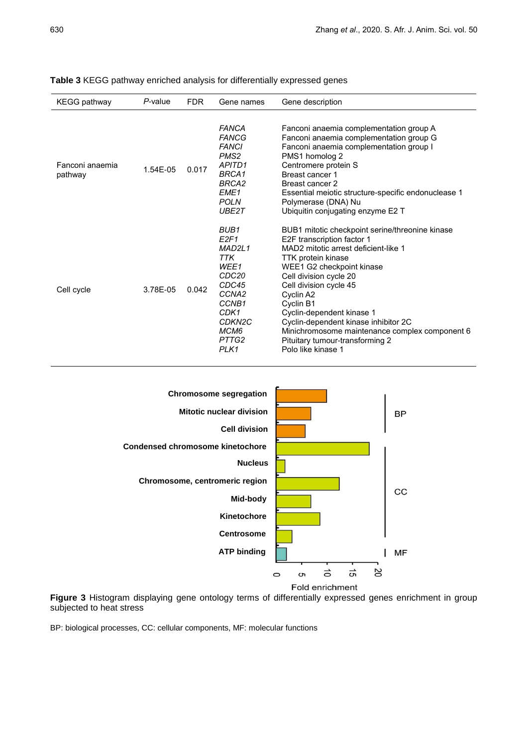| <b>KEGG pathway</b>        | P-value  | FDR.  | Gene names                                                                                                                                                                                   | Gene description                                                                                                                                                                                                                                                                                                                                                                                                                              |
|----------------------------|----------|-------|----------------------------------------------------------------------------------------------------------------------------------------------------------------------------------------------|-----------------------------------------------------------------------------------------------------------------------------------------------------------------------------------------------------------------------------------------------------------------------------------------------------------------------------------------------------------------------------------------------------------------------------------------------|
| Fanconi anaemia<br>pathway | 1.54E-05 | 0.017 | <b>FANCA</b><br><b>FANCG</b><br><b>FANCI</b><br>PMS <sub>2</sub><br>APITD1<br>BRCA1<br>BRCA2<br>EME <sub>1</sub><br><b>POLN</b><br>UBE2T                                                     | Fanconi anaemia complementation group A<br>Fanconi anaemia complementation group G<br>Fanconi anaemia complementation group I<br>PMS1 homolog 2<br>Centromere protein S<br>Breast cancer 1<br>Breast cancer 2<br>Essential meiotic structure-specific endonuclease 1<br>Polymerase (DNA) Nu<br>Ubiquitin conjugating enzyme E2 T                                                                                                              |
| Cell cycle                 | 3.78E-05 | 0.042 | BUB <sub>1</sub><br>E2F1<br>MAD <sub>2L1</sub><br>TTK<br>WEE1<br>CDC <sub>20</sub><br>CDC45<br>CCNA <sub>2</sub><br>CCNB <sub>1</sub><br>CDK1<br>CDKN <sub>2C</sub><br>MCM6<br>PTTG2<br>PLK1 | BUB1 mitotic checkpoint serine/threonine kinase<br>E2F transcription factor 1<br>MAD2 mitotic arrest deficient-like 1<br><b>TTK protein kinase</b><br>WEE1 G2 checkpoint kinase<br>Cell division cycle 20<br>Cell division cycle 45<br>Cyclin A2<br>Cyclin B1<br>Cyclin-dependent kinase 1<br>Cyclin-dependent kinase inhibitor 2C<br>Minichromosome maintenance complex component 6<br>Pituitary tumour-transforming 2<br>Polo like kinase 1 |

## **Table 3** KEGG pathway enriched analysis for differentially expressed genes



**Figure 3** Histogram displaying gene ontology terms of differentially expressed genes enrichment in group subjected to heat stress

BP: biological processes, CC: cellular components, MF: molecular functions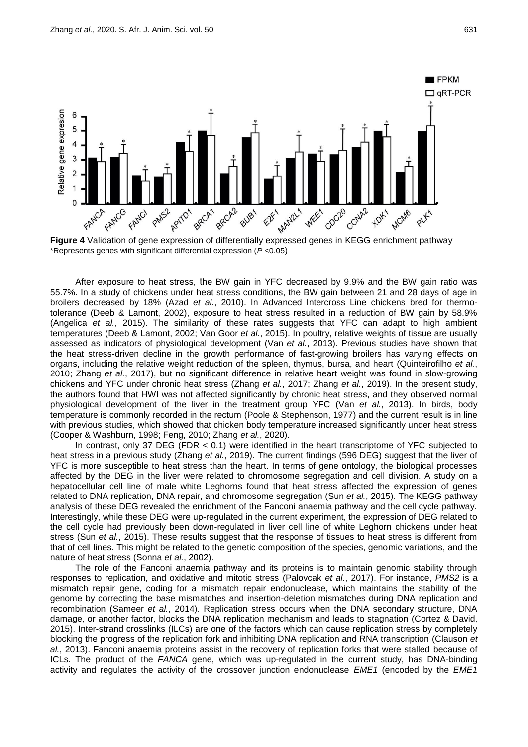

\*Represents genes with significant differential expression (*P* <0.05)

After exposure to heat stress, the BW gain in YFC decreased by 9.9% and the BW gain ratio was 55.7%. In a study of chickens under heat stress conditions, the BW gain between 21 and 28 days of age in broilers decreased by 18% (Azad *et al.*[, 2010\)](#page-7-5). In Advanced Intercross Line chickens bred for thermotolerance [\(Deeb & Lamont, 2002\)](#page-7-6), exposure to heat stress resulted in a reduction of BW gain by 58.9% (Angelica *et al.*, 2015). The similarity of these rates suggests that YFC can adapt to high ambient temperatures [\(Deeb & Lamont, 2002;](#page-7-6) [Van Goor](#page-8-3) *et al.*, 2015). In poultry, relative weights of tissue are usually assessed as indicators of physiological development (Van *et al.*[, 2013\)](#page-8-4). Previous studies have shown that the heat stress-driven decline in the growth performance of fast-growing broilers has varying effects on organs, including the relative weight reduction of the spleen, thymus, bursa, and heart [\(Quinteirofilho](#page-8-5) *et al.*, [2010;](#page-8-5) [Zhang](#page-8-6) *et al.*, 2017), but no significant difference in relative heart weight was found in slow-growing chickens and YFC under chronic heat stress [\(Zhang](#page-8-6) *et al.*, 2017; [Zhang](#page-8-1) *et al.*, 2019). In the present study, the authors found that HWI was not affected significantly by chronic heat stress, and they observed normal physiological development of the liver in the treatment group YFC (Van *et al.*[, 2013\)](#page-8-4). In birds, body temperature is commonly recorded in the rectum [\(Poole & Stephenson, 1977\)](#page-8-7) and the current result is in line with previous studies, which showed that chicken body temperature increased significantly under heat stress [\(Cooper & Washburn, 1998;](#page-7-7) [Feng, 2010;](#page-7-8) [Zhang](#page-8-0) *et al.*, 2020).

In contrast, only 37 DEG (FDR < 0.1) were identified in the heart transcriptome of YFC subjected to heat stress in a previous study [\(Zhang](#page-8-1) *et al.*, 2019). The current findings (596 DEG) suggest that the liver of YFC is more susceptible to heat stress than the heart. In terms of gene ontology, the biological processes affected by the DEG in the liver were related to chromosome segregation and cell division. A study on a hepatocellular cell line of male white Leghorns found that heat stress affected the expression of genes related to DNA replication, DNA repair, and chromosome segregation (Sun *et al.*[, 2015\)](#page-8-8). The KEGG pathway analysis of these DEG revealed the enrichment of the Fanconi anaemia pathway and the cell cycle pathway. Interestingly, while these DEG were up-regulated in the current experiment, the expression of DEG related to the cell cycle had previously been down-regulated in liver cell line of white Leghorn chickens under heat stress (Sun *et al.*[, 2015\)](#page-8-8). These results suggest that the response of tissues to heat stress is different from that of cell lines. This might be related to the genetic composition of the species, genomic variations, and the nature of heat stress (Sonna *et al.*, 2002).

The role of the Fanconi anaemia pathway and its proteins is to maintain genomic stability through responses to replication, and oxidative and mitotic stress [\(Palovcak](#page-8-9) *et al.*, 2017). For instance, *PMS2* is a mismatch repair gene, coding for a mismatch repair endonuclease, which maintains the stability of the genome by correcting the base mismatches and insertion-deletion mismatches during DNA replication and recombination [\(Sameer](#page-8-10) *et al.*, 2014). Replication stress occurs when the DNA secondary structure, DNA damage, or another factor, blocks the DNA replication mechanism and leads to stagnation [\(Cortez & David,](#page-7-9)  [2015\)](#page-7-9). Inter-strand crosslinks (ILCs) are one of the factors which can cause replication stress by completely blocking the progress of the replication fork and inhibiting DNA replication and RNA transcription [\(Clauson](#page-7-10) *et al.*[, 2013\)](#page-7-10). Fanconi anaemia proteins assist in the recovery of replication forks that were stalled because of ICLs. The product of the *FANCA* gene, which was up-regulated in the current study, has DNA-binding activity and regulates the activity of the crossover junction endonuclease *EME1* (encoded by the *EME1*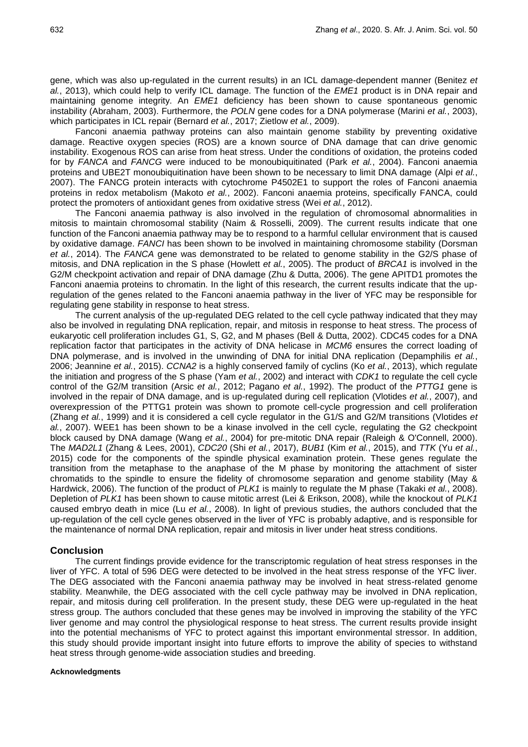gene, which was also up-regulated in the current results) in an ICL damage-dependent manner [\(Benitez](#page-7-11) *et al.*[, 2013\)](#page-7-11), which could help to verify ICL damage. The function of the *EME1* product is in DNA repair and maintaining genome integrity. An *EME1* deficiency has been shown to cause spontaneous genomic instability [\(Abraham, 2003\)](#page-7-12). Furthermore, the *POLN* gene codes for a DNA polymerase [\(Marini](#page-8-11) *et al.*, 2003), which participates in ICL repair [\(Bernard](#page-7-13) *et al.*, 2017; [Zietlow](#page-8-12) *et al.*, 2009).

Fanconi anaemia pathway proteins can also maintain genome stability by preventing oxidative damage. Reactive oxygen species (ROS) are a known source of DNA damage that can drive genomic instability. Exogenous ROS can arise from heat stress. Under the conditions of oxidation, the proteins coded for by *FANCA* and *FANCG* were induced to be monoubiquitinated (Park *et al.*[, 2004\)](#page-8-13). Fanconi anaemia proteins and UBE2T monoubiquitination have been shown to be necessary to limit DNA damage (Alpi *[et al.](#page-7-14)*, [2007\)](#page-7-14). The FANCG protein interacts with cytochrome P4502E1 to support the roles of Fanconi anaemia proteins in redox metabolism [\(Makoto](#page-8-14) *et al.*, 2002). Fanconi anaemia proteins, specifically FANCA, could protect the promoters of antioxidant genes from oxidative stress (Wei *et al.*[, 2012\)](#page-8-15).

The Fanconi anaemia pathway is also involved in the regulation of chromosomal abnormalities in mitosis to maintain chromosomal stability [\(Naim & Rosselli, 2009\)](#page-8-16). The current results indicate that one function of the Fanconi anaemia pathway may be to respond to a harmful cellular environment that is caused by oxidative damage. *FANCI* has been shown to be involved in maintaining chromosome stability [\(Dorsman](#page-7-15)  *et al.*[, 2014\)](#page-7-15). The *FANCA* gene was demonstrated to be related to genome stability in the G2/S phase of mitosis, and DNA replication in the S phase [\(Howlett](#page-7-16) *et al.*, 2005). The product of *BRCA1* is involved in the G2/M checkpoint activation and repair of DNA damage [\(Zhu & Dutta, 2006\)](#page-8-17). The gene APITD1 promotes the Fanconi anaemia proteins to chromatin. In the light of this research, the current results indicate that the upregulation of the genes related to the Fanconi anaemia pathway in the liver of YFC may be responsible for regulating gene stability in response to heat stress.

The current analysis of the up-regulated DEG related to the cell cycle pathway indicated that they may also be involved in regulating DNA replication, repair, and mitosis in response to heat stress. The process of eukaryotic cell proliferation includes G1, S, G2, and M phases [\(Bell & Dutta, 2002\)](#page-7-17). CDC45 codes for a DNA replication factor that participates in the activity of DNA helicase in *MCM6* ensures the correct loading of DNA polymerase, and is involved in the unwinding of DNA for initial DNA replication [\(Depamphilis](#page-7-18) *et al.*, [2006;](#page-7-18) Jeannine *et al.*, 2015). *CCNA2* is a highly conserved family of cyclins (Ko *et al.*[, 2013\)](#page-7-19), which regulate the initiation and progress of the S phase (Yam *et al.*[, 2002\)](#page-8-18) and interact with *CDK1* to regulate the cell cycle control of the G2/M transition (Arsic *et al.*[, 2012;](#page-7-20) [Pagano](#page-8-19) *et al.*, 1992). The product of the *PTTG1* gene is involved in the repair of DNA damage, and is up-regulated during cell replication [\(Vlotides](#page-8-20) *et al.*, 2007), and overexpression of the PTTG1 protein was shown to promote cell-cycle progression and cell proliferation [\(Zhang](#page-8-21) *et al.*, 1999) and it is considered a cell cycle regulator in the G1/S and G2/M transitions [\(Vlotides](#page-8-20) *et al.*[, 2007\)](#page-8-20). WEE1 has been shown to be a kinase involved in the cell cycle, regulating the G2 checkpoint block caused by DNA damage [\(Wang](#page-8-22) *et al.*, 2004) for pre-mitotic DNA repair [\(Raleigh & O'Connell, 2000\)](#page-8-23). The *MAD2L1* [\(Zhang & Lees, 2001\)](#page-8-24), *CDC20* (Shi *et al.*[, 2017\)](#page-8-25), *BUB1* (Kim *et al.*[, 2015\)](#page-7-21), and *TTK* (Yu *[et al.](#page-8-26)*, [2015\)](#page-8-26) code for the components of the spindle physical examination protein. These genes regulate the transition from the metaphase to the anaphase of the M phase by monitoring the attachment of sister chromatids to the spindle to ensure the fidelity of chromosome separation and genome stability [\(May &](#page-8-27)  [Hardwick, 2006\)](#page-8-27). The function of the product of *PLK1* is mainly to regulate the M phase [\(Takaki](#page-8-28) *et al.*, 2008). Depletion of *PLK1* has been shown to cause mitotic arrest [\(Lei & Erikson, 2008\)](#page-7-22), while the knockout of *PLK1* caused embryo death in mice (Lu *et al.*[, 2008\)](#page-8-29). In light of previous studies, the authors concluded that the up-regulation of the cell cycle genes observed in the liver of YFC is probably adaptive, and is responsible for the maintenance of normal DNA replication, repair and mitosis in liver under heat stress conditions.

### **Conclusion**

The current findings provide evidence for the transcriptomic regulation of heat stress responses in the liver of YFC. A total of 596 DEG were detected to be involved in the heat stress response of the YFC liver. The DEG associated with the Fanconi anaemia pathway may be involved in heat stress-related genome stability. Meanwhile, the DEG associated with the cell cycle pathway may be involved in DNA replication, repair, and mitosis during cell proliferation. In the present study, these DEG were up-regulated in the heat stress group. The authors concluded that these genes may be involved in improving the stability of the YFC liver genome and may control the physiological response to heat stress. The current results provide insight into the potential mechanisms of YFC to protect against this important environmental stressor. In addition, this study should provide important insight into future efforts to improve the ability of species to withstand heat stress through genome-wide association studies and breeding.

### **Acknowledgments**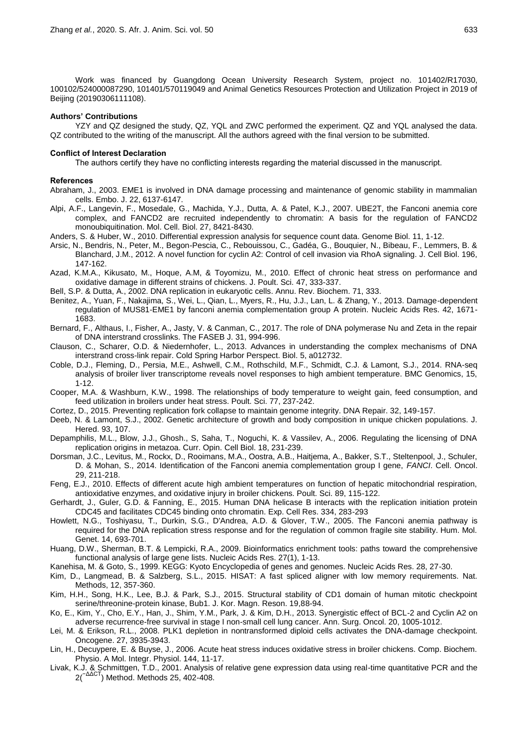Work was financed by Guangdong Ocean University Research System, project no. 101402/R17030, 100102/524000087290, 101401/570119049 and Animal Genetics Resources Protection and Utilization Project in 2019 of Beijing (20190306111108).

#### **Authors' Contributions**

YZY and QZ designed the study, QZ, YQL and ZWC performed the experiment. QZ and YQL analysed the data. QZ contributed to the writing of the manuscript. All the authors agreed with the final version to be submitted.

#### **Conflict of Interest Declaration**

The authors certify they have no conflicting interests regarding the material discussed in the manuscript.

#### **References**

- <span id="page-7-12"></span>Abraham, J., 2003. EME1 is involved in DNA damage processing and maintenance of genomic stability in mammalian cells. Embo. J. 22, 6137-6147.
- <span id="page-7-14"></span>Alpi, A.F., Langevin, F., Mosedale, G., Machida, Y.J., Dutta, A. & Patel, K.J., 2007. UBE2T, the Fanconi anemia core complex, and FANCD2 are recruited independently to chromatin: A basis for the regulation of FANCD2 monoubiquitination. Mol. Cell. Biol. 27, 8421-8430.
- <span id="page-7-2"></span>Anders, S. & Huber, W., 2010. Differential expression analysis for sequence count data. Genome Biol. 11, 1-12.
- <span id="page-7-20"></span>Arsic, N., Bendris, N., Peter, M., Begon-Pescia, C., Rebouissou, C., Gadéa, G., Bouquier, N., Bibeau, F., Lemmers, B. & Blanchard, J.M., 2012. A novel function for cyclin A2: Control of cell invasion via RhoA signaling. J. Cell Biol. 196, 147-162.
- <span id="page-7-5"></span>Azad, K.M.A., Kikusato, M., Hoque, A.M, & Toyomizu, M., 2010. Effect of chronic heat stress on performance and oxidative damage in different strains of chickens. J. Poult. Sci. 47, 333-337.
- <span id="page-7-17"></span>Bell, S.P. & Dutta, A., 2002. DNA replication in eukaryotic cells. Annu. Rev. Biochem. 71, 333.
- <span id="page-7-11"></span>Benitez, A., Yuan, F., Nakajima, S., Wei, L., Qian, L., Myers, R., Hu, J.J., Lan, L. & Zhang, Y., 2013. Damage-dependent regulation of MUS81-EME1 by fanconi anemia complementation group A protein. Nucleic Acids Res. 42, 1671- 1683.
- <span id="page-7-13"></span>Bernard, F., Althaus, I., Fisher, A., Jasty, V. & Canman, C., 2017. The role of DNA polymerase Nu and Zeta in the repair of DNA interstrand crosslinks. The FASEB J. 31, 994-996.
- <span id="page-7-10"></span>Clauson, C., Scharer, O.D. & Niedernhofer, L., 2013. Advances in understanding the complex mechanisms of DNA interstrand cross-link repair. Cold Spring Harbor Perspect. Biol. 5, a012732.
- Coble, D.J., Fleming, D., Persia, M.E., Ashwell, C.M., Rothschild, M.F., Schmidt, C.J. & Lamont, S.J., 2014. RNA-seq analysis of broiler liver transcriptome reveals novel responses to high ambient temperature. BMC Genomics, 15, 1-12.
- <span id="page-7-7"></span>Cooper, M.A. & Washburn, K.W., 1998. The relationships of body temperature to weight gain, feed consumption, and feed utilization in broilers under heat stress. Poult. Sci. 77, 237-242.
- <span id="page-7-9"></span>Cortez, D., 2015. Preventing replication fork collapse to maintain genome integrity. DNA Repair. 32, 149-157.
- <span id="page-7-6"></span>Deeb, N. & Lamont, S.J., 2002. Genetic architecture of growth and body composition in unique chicken populations. J. Hered. 93, 107.
- <span id="page-7-18"></span>Depamphilis, M.L., Blow, J.J., Ghosh., S, Saha, T., Noguchi, K. & Vassilev, A., 2006. Regulating the licensing of DNA replication origins in metazoa. Curr. Opin. Cell Biol. 18, 231-239.
- <span id="page-7-15"></span>Dorsman, J.C., Levitus, M., Rockx, D., Rooimans, M.A., Oostra, A.B., Haitjema, A., Bakker, S.T., Steltenpool, J., Schuler, D. & Mohan, S., 2014. Identification of the Fanconi anemia complementation group I gene, *FANCI*. Cell. Oncol. 29, 211-218.
- <span id="page-7-8"></span>Feng, E.J., 2010. Effects of different acute high ambient temperatures on function of hepatic mitochondrial respiration, antioxidative enzymes, and oxidative injury in broiler chickens. Poult. Sci. 89, 115-122.
- <span id="page-7-16"></span>Gerhardt, J., Guler, G.D. & Fanning, E., 2015. Human DNA helicase B interacts with the replication initiation protein CDC45 and facilitates CDC45 binding onto chromatin. Exp. Cell Res. 334, 283-293
- Howlett, N.G., Toshiyasu, T., Durkin, S.G., D'Andrea, A.D. & Glover, T.W., 2005. The Fanconi anemia pathway is required for the DNA replication stress response and for the regulation of common fragile site stability. Hum. Mol. Genet. 14, 693-701.
- Huang, D.W., Sherman, B.T. & Lempicki, R.A., 2009. Bioinformatics enrichment tools: paths toward the comprehensive functional analysis of large gene lists. Nucleic Acids Res. 27(1), 1-13.
- <span id="page-7-4"></span>Kanehisa, M. & Goto, S., 1999. KEGG: Kyoto Encyclopedia of genes and genomes. Nucleic Acids Res. 28, 27-30.
- <span id="page-7-1"></span>Kim, D., Langmead, B. & Salzberg, S.L., 2015. HISAT: A fast spliced aligner with low memory requirements. Nat. Methods, 12, 357-360.
- <span id="page-7-21"></span>Kim, H.H., Song, H.K., Lee, B.J. & Park, S.J., 2015. Structural stability of CD1 domain of human mitotic checkpoint serine/threonine-protein kinase, Bub1. J. Kor. Magn. Reson. 19,88-94.
- <span id="page-7-19"></span>Ko, E., Kim, Y., Cho, E.Y., Han, J., Shim, Y.M., Park, J. & Kim, D.H., 2013. Synergistic effect of BCL-2 and Cyclin A2 on adverse recurrence-free survival in stage I non-small cell lung cancer. Ann. Surg. Oncol. 20, 1005-1012.
- <span id="page-7-22"></span>Lei, M. & Erikson, R.L., 2008. PLK1 depletion in nontransformed diploid cells activates the DNA-damage checkpoint. Oncogene. 27, 3935-3943.
- <span id="page-7-0"></span>Lin, H., Decuypere, E. & Buyse, J., 2006. Acute heat stress induces oxidative stress in broiler chickens. Comp. Biochem. Physio. A Mol. Integr. Physiol. 144, 11-17.
- <span id="page-7-3"></span>Livak, K.J. & Schmittgen, T.D., 2001. Analysis of relative gene expression data using real-time quantitative PCR and the 2(<sup>−ΔΔCT</sup>) Method. Methods 25, 402-408.